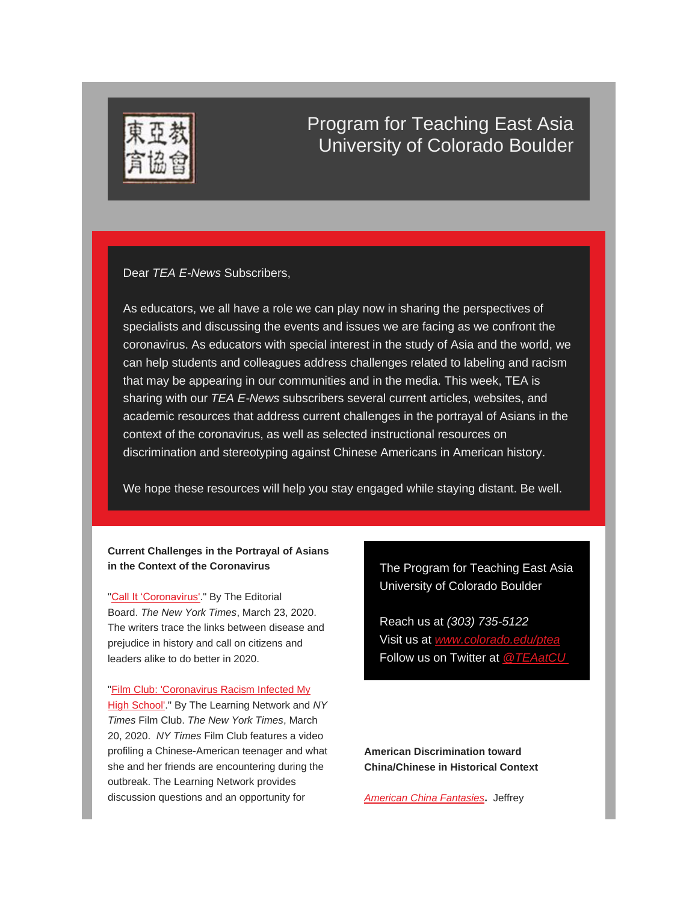

## Program for Teaching East Asia University of Colorado Boulder

Dear *TEA E-News* Subscribers,

As educators, we all have a role we can play now in sharing the perspectives of specialists and discussing the events and issues we are facing as we confront the coronavirus. As educators with special interest in the study of Asia and the world, we can help students and colleagues address challenges related to labeling and racism that may be appearing in our communities and in the media. This week, TEA is sharing with our *TEA E-News* subscribers several current articles, websites, and academic resources that address current challenges in the portrayal of Asians in the context of the coronavirus, as well as selected instructional resources on discrimination and stereotyping against Chinese Americans in American history.

We hope these resources will help you stay engaged while staying distant. Be well.

## **Current Challenges in the Portrayal of Asians in the Context of the Coronavirus**

["Call It 'Coronavirus'.](https://www.nytimes.com/2020/03/23/opinion/china-coronavirus-racism.html)" By The Editorial Board. *The New York Times*, March 23, 2020. The writers trace the links between disease and prejudice in history and call on citizens and leaders alike to do better in 2020.

## "Film Club: 'Coronavirus Racism Infected My

[High School'.](https://www.nytimes.com/2020/03/20/learning/film-club-coronavirus-racism-infected-my-high-school.html)" By The Learning Network and *NY Times* Film Club. *The New York Times*, March 20, 2020. *NY Times* Film Club features a video profiling a Chinese-American teenager and what she and her friends are encountering during the outbreak. The Learning Network provides discussion questions and an opportunity for

The Program for Teaching East Asia University of Colorado Boulder

Reach us at *(303) 735-5122* Visit us at www.colorado.edu/pt Follow us on Twitter at *[@TEAatCU](https://twitter.com/@TEAatCU)*

**American Discrimination toward China/Chinese in Historical Context**

*[American China Fantasies](http://nctasia.org/resources/class-apps/chinese-contemporary-issues/#Fantasies)***.** Jeffrey